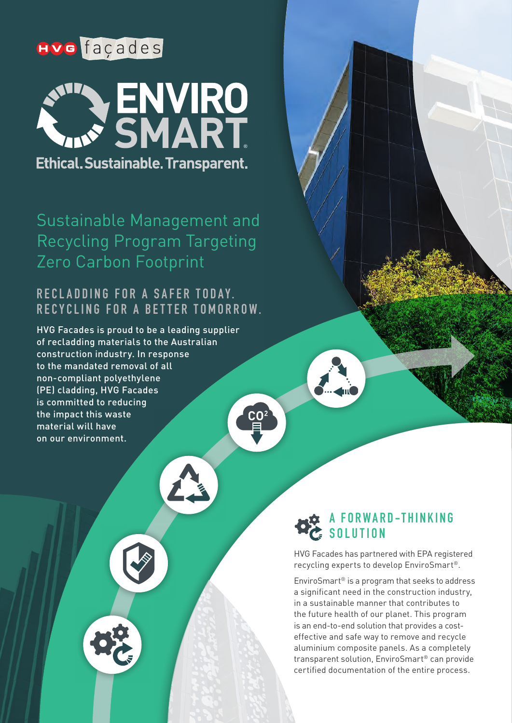# **Hve** façades



Sustainable Management and Recycling Program Targeting Zero Carbon Footprint

### **RECLADDING FOR A SAFER TODAY. R E C Y C L I N G F O R A B E T T E R T O M O R R O W .**

HVG Facades is proud to be a leading supplier of recladding materials to the Australian construction industry. In response to the mandated removal of all non-compliant polyethylene (PE) cladding, HVG Facades is committed to reducing the impact this waste material will have on our environment.



HVG Facades has partnered with EPA registered recycling experts to develop EnviroSmart®.

EnviroSmart® is a program that seeks to address a significant need in the construction industry, in a sustainable manner that contributes to the future health of our planet. This program is an end-to-end solution that provides a costeffective and safe way to remove and recycle aluminium composite panels. As a completely transparent solution, EnviroSmart® can provide certified documentation of the entire process.